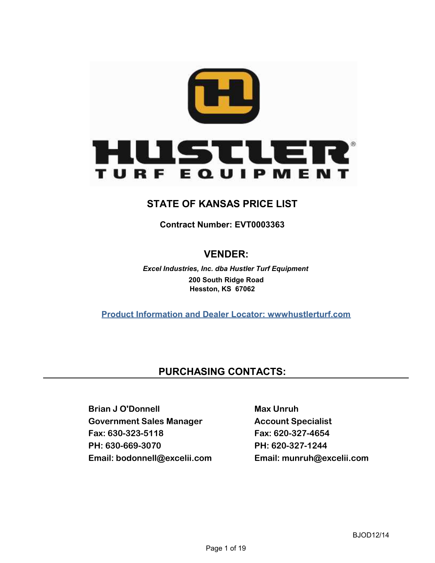

### **STATE OF KANSAS PRICE LIST**

**Contract Number: EVT0003363**

### **VENDER:**

**Hesston, KS 67062 200 South Ridge Road** *Excel Industries, Inc. dba Hustler Turf Equipment*

**Product Information and Dealer Locator: wwwhustlerturf.com**

### **PURCHASING CONTACTS:**

**Brian J O'Donnell** Max Unruh **Government Sales Manager Manager Account Specialist Fax: 630-323-5118 Fax: 620-327-4654 PH: 630-669-3070 PH: 620-327-1244 Email: bodonnell@excelii.com Email: munruh@excelii.com**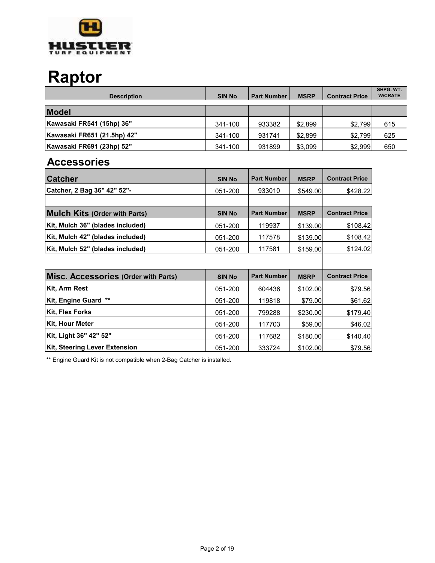

## **Raptor**

| <b>Description</b>          | <b>SIN No</b> | <b>Part Number</b> | <b>MSRP</b> | <b>Contract Price</b> | SHPG. WT.<br><b>W/CRATE</b> |
|-----------------------------|---------------|--------------------|-------------|-----------------------|-----------------------------|
| <b>Model</b>                |               |                    |             |                       |                             |
| Kawasaki FR541 (15hp) 36"   | 341-100       | 933382             | \$2,899     | \$2,799               | 615                         |
| Kawasaki FR651 (21.5hp) 42" | 341-100       | 931741             | \$2,899     | \$2.799               | 625                         |
| Kawasaki FR691 (23hp) 52"   | 341-100       | 931899             | \$3,099     | \$2,999               | 650                         |

### **Accessories**

| <b>Catcher</b>                       | <b>SIN No</b> | <b>Part Number</b> | <b>MSRP</b> | <b>Contract Price</b> |
|--------------------------------------|---------------|--------------------|-------------|-----------------------|
| Catcher, 2 Bag 36" 42" 52"-          | 051-200       | 933010             | \$549.00    | \$428.22              |
|                                      |               |                    |             |                       |
| <b>Mulch Kits (Order with Parts)</b> | <b>SIN No</b> | <b>Part Number</b> | <b>MSRP</b> | <b>Contract Price</b> |
| Kit, Mulch 36" (blades included)     | 051-200       | 119937             | \$139.00    | \$108.42              |
| Kit, Mulch 42" (blades included)     | 051-200       | 117578             | \$139.00    | \$108.42              |
|                                      |               |                    |             |                       |

| Misc. Accessories (Order with Parts) | <b>SIN No</b> | <b>Part Number</b> | <b>MSRP</b> | <b>Contract Price</b> |
|--------------------------------------|---------------|--------------------|-------------|-----------------------|
| Kit, Arm Rest                        | 051-200       | 604436             | \$102.00    | \$79.56               |
| Kit, Engine Guard **                 | 051-200       | 119818             | \$79.00     | \$61.62               |
| <b>Kit, Flex Forks</b>               | 051-200       | 799288             | \$230.00    | \$179.40              |
| Kit, Hour Meter                      | 051-200       | 117703             | \$59,00     | \$46.02               |
| Kit, Light 36" 42" 52"               | 051-200       | 117682             | \$180.00    | \$140.40              |
| <b>Kit, Steering Lever Extension</b> | 051-200       | 333724             | \$102.00    | \$79.56               |

 $\overline{\phantom{a}}$ 

\*\* Engine Guard Kit is not compatible when 2-Bag Catcher is installed.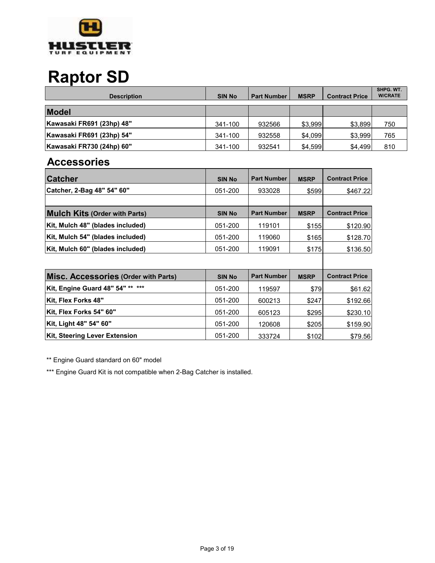

## **Raptor SD**

| <b>Description</b>        | <b>SIN No</b> | <b>Part Number</b> | <b>MSRP</b> | <b>Contract Price</b> | SHPG. WT.<br><b>W/CRATE</b> |
|---------------------------|---------------|--------------------|-------------|-----------------------|-----------------------------|
| <b>Model</b>              |               |                    |             |                       |                             |
| Kawasaki FR691 (23hp) 48" | 341-100       | 932566             | \$3,999     | \$3,899               | 750                         |
| Kawasaki FR691 (23hp) 54" | 341-100       | 932558             | \$4,099     | \$3,999               | 765                         |
| Kawasaki FR730 (24hp) 60" | 341-100       | 932541             | \$4,599     | \$4,499               | 810                         |

### **Accessories**

| <b>Catcher</b>                       | <b>SIN No</b> | <b>Part Number</b> | <b>MSRP</b> | <b>Contract Price</b> |
|--------------------------------------|---------------|--------------------|-------------|-----------------------|
| Catcher, 2-Bag 48" 54" 60"           | 051-200       | 933028             | \$599       | \$467.22              |
|                                      |               |                    |             |                       |
| <b>Mulch Kits (Order with Parts)</b> | <b>SIN No</b> | <b>Part Number</b> | <b>MSRP</b> | <b>Contract Price</b> |
| Kit, Mulch 48" (blades included)     | 051-200       | 119101             | \$155       | \$120.90              |
|                                      |               |                    |             |                       |
| Kit, Mulch 54" (blades included)     | 051-200       | 119060             | \$165       | \$128.70              |

| Misc. Accessories (Order with Parts) | <b>SIN No</b> | <b>Part Number</b> | <b>MSRP</b> | <b>Contract Price</b> |
|--------------------------------------|---------------|--------------------|-------------|-----------------------|
| Kit, Engine Guard 48" 54" ** ***     | 051-200       | 119597             | \$79        | \$61.62               |
| Kit, Flex Forks 48"                  | 051-200       | 600213             | \$247       | \$192.66              |
| Kit, Flex Forks 54" 60"              | 051-200       | 605123             | \$295       | \$230.10              |
| Kit, Light 48" 54" 60"               | 051-200       | 120608             | \$205       | \$159.90              |
| <b>Kit, Steering Lever Extension</b> | 051-200       | 333724             | \$102       | \$79.56               |

\*\* Engine Guard standard on 60" model

\*\*\* Engine Guard Kit is not compatible when 2-Bag Catcher is installed.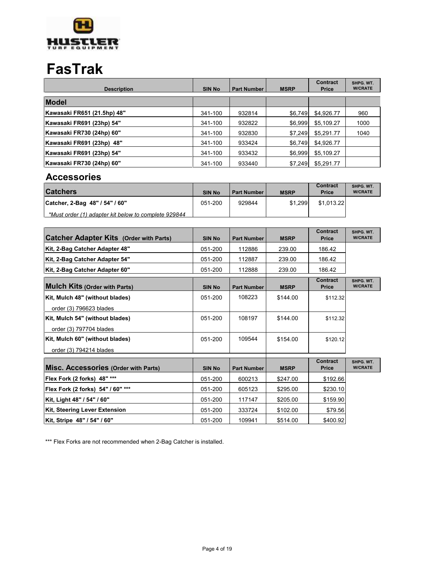

## **FasTrak**

| <b>Description</b>          | <b>SIN No</b> | <b>Part Number</b> | <b>MSRP</b> | <b>Contract</b><br><b>Price</b> | SHPG. WT.<br><b>W/CRATE</b> |
|-----------------------------|---------------|--------------------|-------------|---------------------------------|-----------------------------|
| <b>Model</b>                |               |                    |             |                                 |                             |
| Kawasaki FR651 (21.5hp) 48" | 341-100       | 932814             | \$6,749     | \$4,926.77                      | 960                         |
| Kawasaki FR691 (23hp) 54"   | 341-100       | 932822             | \$6.999     | \$5.109.27                      | 1000                        |
| Kawasaki FR730 (24hp) 60"   | 341-100       | 932830             | \$7,249     | \$5,291.77                      | 1040                        |
| Kawasaki FR691 (23hp) 48"   | 341-100       | 933424             | \$6,749     | \$4.926.77                      |                             |
| Kawasaki FR691 (23hp) 54"   | 341-100       | 933432             | \$6,999     | \$5.109.27                      |                             |
| Kawasaki FR730 (24hp) 60"   | 341-100       | 933440             | \$7,249     | \$5,291.77                      |                             |

#### **Accessories**

| <b>Catchers</b>                                      | <b>SIN No</b> | <b>Part Number</b> | <b>MSRP</b> | Contract<br><b>Price</b> | SHPG, WT.<br><b>W/CRATE</b> |
|------------------------------------------------------|---------------|--------------------|-------------|--------------------------|-----------------------------|
| Catcher, 2-Bag 48" / 54" / 60"                       | 051-200       | 929844             | \$1.299     | \$1.013.22               |                             |
| *Must order (1) adapter kit below to complete 929844 |               |                    |             |                          |                             |

| <b>Catcher Adapter Kits (Order with Parts)</b> | <b>SIN No</b> | <b>Part Number</b> | <b>MSRP</b> | Contract<br><b>Price</b>        | SHPG. WT.<br><b>W/CRATE</b> |
|------------------------------------------------|---------------|--------------------|-------------|---------------------------------|-----------------------------|
| Kit, 2-Bag Catcher Adapter 48"                 | 051-200       | 112886             | 239.00      | 186.42                          |                             |
| Kit, 2-Bag Catcher Adapter 54"                 | 051-200       | 112887             | 239.00      | 186.42                          |                             |
| Kit, 2-Bag Catcher Adapter 60"                 | 051-200       | 112888             | 239.00      | 186.42                          |                             |
| <b>Mulch Kits (Order with Parts)</b>           | <b>SIN No</b> | <b>Part Number</b> | <b>MSRP</b> | <b>Contract</b><br><b>Price</b> | SHPG, WT.<br><b>W/CRATE</b> |
| Kit, Mulch 48" (without blades)                | 051-200       | 108223             | \$144.00    | \$112.32                        |                             |
| order (3) 796623 blades                        |               |                    |             |                                 |                             |
| Kit, Mulch 54" (without blades)                | 051-200       | 108197             | \$144.00    | \$112.32                        |                             |
| order (3) 797704 blades                        |               |                    |             |                                 |                             |
| Kit, Mulch 60" (without blades)                | 051-200       | 109544             | \$154.00    | \$120.12                        |                             |
| order (3) 794214 blades                        |               |                    |             |                                 |                             |
| Misc. Accessories (Order with Parts)           | <b>SIN No</b> | <b>Part Number</b> | <b>MSRP</b> | <b>Contract</b><br><b>Price</b> | SHPG. WT.<br><b>W/CRATE</b> |
| Flex Fork (2 forks) 48"***                     | 051-200       | 600213             | \$247.00    | \$192.66                        |                             |
| Flex Fork (2 forks) 54" / 60" ***              | 051-200       | 605123             | \$295.00    | \$230.10                        |                             |
| Kit, Light 48" / 54" / 60"                     | 051-200       | 117147             | \$205.00    | \$159.90                        |                             |
| Kit, Steering Lever Extension                  | 051-200       | 333724             | \$102.00    | \$79.56                         |                             |
| Kit, Stripe 48" / 54" / 60"                    | 051-200       | 109941             | \$514.00    | \$400.92                        |                             |

\*\*\* Flex Forks are not recommended when 2-Bag Catcher is installed.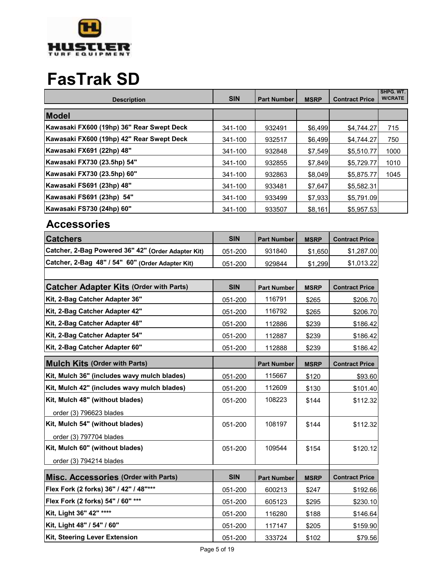

## **FasTrak SD**

| <b>Description</b>                        | <b>SIN</b> | <b>Part Number</b> | <b>MSRP</b> | <b>Contract Price</b> | SHPG, WT.<br><b>W/CRATE</b> |
|-------------------------------------------|------------|--------------------|-------------|-----------------------|-----------------------------|
| <b>Model</b>                              |            |                    |             |                       |                             |
| Kawasaki FX600 (19hp) 36" Rear Swept Deck | 341-100    | 932491             | \$6.499     | \$4.744.27            | 715                         |
| Kawasaki FX600 (19hp) 42" Rear Swept Deck | 341-100    | 932517             | \$6,499     | \$4,744.27            | 750                         |
| Kawasaki FX691 (22hp) 48"                 | 341-100    | 932848             | \$7,549     | \$5,510.77            | 1000                        |
| Kawasaki FX730 (23.5hp) 54"               | 341-100    | 932855             | \$7.849     | \$5.729.77            | 1010                        |
| Kawasaki FX730 (23.5hp) 60"               | 341-100    | 932863             | \$8.049     | \$5,875.77            | 1045                        |
| Kawasaki FS691 (23hp) 48"                 | 341-100    | 933481             | \$7,647     | \$5.582.31            |                             |
| Kawasaki FS691 (23hp) 54"                 | 341-100    | 933499             | \$7,933     | \$5.791.09            |                             |
| Kawasaki FS730 (24hp) 60"                 | 341-100    | 933507             | \$8,161     | \$5,957.53            |                             |

| <b>Catchers</b>                                    | <b>SIN</b> | <b>Part Number</b> | <b>MSRP</b> | <b>Contract Price</b> |
|----------------------------------------------------|------------|--------------------|-------------|-----------------------|
| Catcher, 2-Bag Powered 36" 42" (Order Adapter Kit) | 051-200    | 931840             | \$1.650     | \$1,287.00            |
| Catcher, 2-Bag 48" / 54" 60" (Order Adapter Kit)   | 051-200    | 929844             | \$1.299     | \$1.013.22            |

| <b>Catcher Adapter Kits (Order with Parts)</b> | <b>SIN</b> | <b>Part Number</b> | <b>MSRP</b> | <b>Contract Price</b> |
|------------------------------------------------|------------|--------------------|-------------|-----------------------|
| Kit, 2-Bag Catcher Adapter 36"                 | 051-200    | 116791             | \$265       | \$206.70              |
| Kit, 2-Bag Catcher Adapter 42"                 | 051-200    | 116792             | \$265       | \$206.70              |
| Kit, 2-Bag Catcher Adapter 48"                 | 051-200    | 112886             | \$239       | \$186.42              |
| Kit, 2-Bag Catcher Adapter 54"                 | 051-200    | 112887             | \$239       | \$186.42              |
| Kit, 2-Bag Catcher Adapter 60"                 | 051-200    | 112888             | \$239       | \$186.42              |
| <b>Mulch Kits (Order with Parts)</b>           |            | <b>Part Number</b> | <b>MSRP</b> | <b>Contract Price</b> |
| Kit, Mulch 36" (includes wavy mulch blades)    | 051-200    | 115667             | \$120       | \$93.60               |
| Kit, Mulch 42" (includes wavy mulch blades)    | 051-200    | 112609             | \$130       | \$101.40              |
| Kit, Mulch 48" (without blades)                | 051-200    | 108223             | \$144       | \$112.32              |
| order (3) 796623 blades                        |            |                    |             |                       |
| Kit, Mulch 54" (without blades)                | 051-200    | 108197             | \$144       | \$112.32              |
| order (3) 797704 blades                        |            |                    |             |                       |
| Kit, Mulch 60" (without blades)                | 051-200    | 109544             | \$154       | \$120.12              |
| order (3) 794214 blades                        |            |                    |             |                       |
| <b>Misc. Accessories (Order with Parts)</b>    | <b>SIN</b> | <b>Part Number</b> | <b>MSRP</b> | <b>Contract Price</b> |
| Flex Fork (2 forks) 36" / 42" / 48"***         | 051-200    | 600213             | \$247       | \$192.66              |
| Flex Fork (2 forks) 54" / 60" ***              | 051-200    | 605123             | \$295       | \$230.10              |
| Kit, Light 36" 42" ****                        | 051-200    | 116280             | \$188       | \$146.64              |
| Kit, Light 48" / 54" / 60"                     | 051-200    | 117147             | \$205       | \$159.90              |
| Kit, Steering Lever Extension                  | 051-200    | 333724             | \$102       | \$79.56               |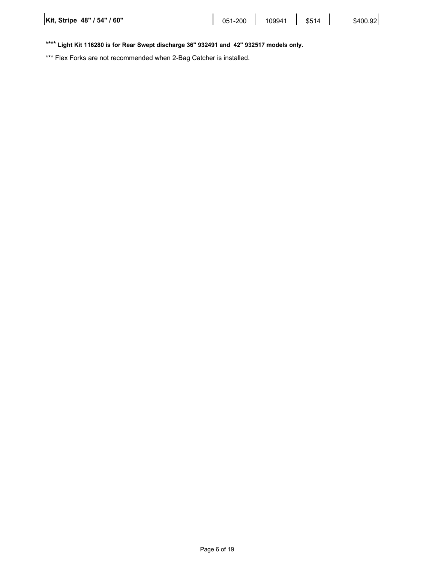| Kit, Stripe<br>/ 60"<br>48" / 54" | -200<br>$051 -$ | 109941 | \$514 | \$400.92 |
|-----------------------------------|-----------------|--------|-------|----------|
|                                   |                 |        |       |          |

### **\*\*\*\* Light Kit 116280 is for Rear Swept discharge 36" 932491 and 42" 932517 models only.**

\*\*\* Flex Forks are not recommended when 2-Bag Catcher is installed.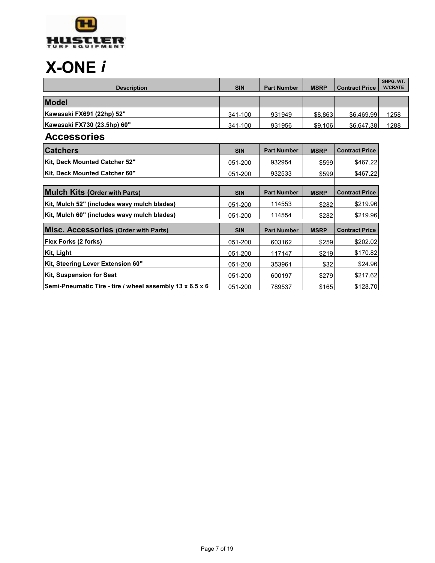

## **X-ONE** *i*

| <b>Description</b>                                       | <b>SIN</b> | <b>Part Number</b> | <b>MSRP</b> | <b>Contract Price</b> | SHPG. WT.<br><b>W/CRATE</b> |
|----------------------------------------------------------|------------|--------------------|-------------|-----------------------|-----------------------------|
| Model                                                    |            |                    |             |                       |                             |
|                                                          |            |                    |             |                       |                             |
| Kawasaki FX691 (22hp) 52"                                | 341-100    | 931949             | \$8,863     | \$6,469.99            | 1258                        |
| Kawasaki FX730 (23.5hp) 60"                              | 341-100    | 931956             | \$9,106     | \$6,647.38            | 1288                        |
| <b>Accessories</b>                                       |            |                    |             |                       |                             |
| <b>Catchers</b>                                          | <b>SIN</b> | <b>Part Number</b> | <b>MSRP</b> | <b>Contract Price</b> |                             |
| Kit, Deck Mounted Catcher 52"                            | 051-200    | 932954             | \$599       | \$467.22              |                             |
| Kit, Deck Mounted Catcher 60"                            | 051-200    | 932533             | \$599       | \$467.22              |                             |
|                                                          |            |                    |             |                       |                             |
| <b>Mulch Kits (Order with Parts)</b>                     | <b>SIN</b> | <b>Part Number</b> | <b>MSRP</b> | <b>Contract Price</b> |                             |
| Kit, Mulch 52" (includes wavy mulch blades)              | 051-200    | 114553             | \$282       | \$219.96              |                             |
| Kit, Mulch 60" (includes wavy mulch blades)              | 051-200    | 114554             | \$282       | \$219.96              |                             |
| Misc. Accessories (Order with Parts)                     | <b>SIN</b> | <b>Part Number</b> | <b>MSRP</b> | <b>Contract Price</b> |                             |
| Flex Forks (2 forks)                                     | 051-200    | 603162             | \$259       | \$202.02              |                             |
| Kit, Light                                               | 051-200    | 117147             | \$219       | \$170.82              |                             |
| Kit, Steering Lever Extension 60"                        | 051-200    | 353961             | \$32        | \$24.96               |                             |
| Kit, Suspension for Seat                                 | 051-200    | 600197             | \$279       | \$217.62              |                             |
| Semi-Pneumatic Tire - tire / wheel assembly 13 x 6.5 x 6 | 051-200    | 789537             | \$165       | \$128.70              |                             |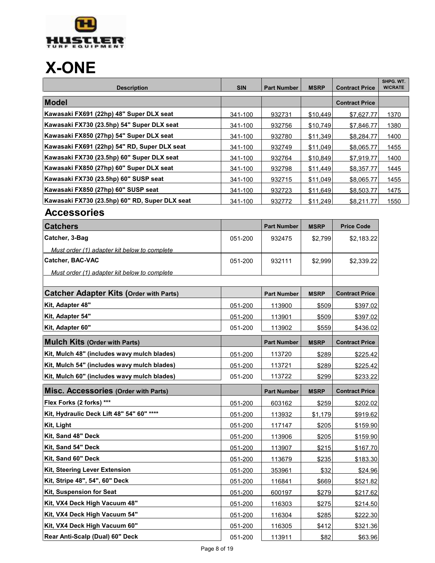

## **X-ONE**

| <b>Description</b>                             | <b>SIN</b> | <b>Part Number</b> | <b>MSRP</b> | <b>Contract Price</b> | SHPG. WT.<br><b>W/CRATE</b> |
|------------------------------------------------|------------|--------------------|-------------|-----------------------|-----------------------------|
| Model                                          |            |                    |             | <b>Contract Price</b> |                             |
| Kawasaki FX691 (22hp) 48" Super DLX seat       | 341-100    | 932731             | \$10,449    | \$7,627.77            | 1370                        |
| Kawasaki FX730 (23.5hp) 54" Super DLX seat     | 341-100    | 932756             | \$10,749    | \$7,846.77            | 1380                        |
| Kawasaki FX850 (27hp) 54" Super DLX seat       | 341-100    | 932780             | \$11,349    | \$8,284.77            | 1400                        |
| Kawasaki FX691 (22hp) 54" RD, Super DLX seat   | 341-100    | 932749             | \$11,049    | \$8,065.77            | 1455                        |
| Kawasaki FX730 (23.5hp) 60" Super DLX seat     | 341-100    | 932764             | \$10,849    | \$7,919.77            | 1400                        |
| Kawasaki FX850 (27hp) 60" Super DLX seat       | 341-100    | 932798             | \$11,449    | \$8,357.77            | 1445                        |
| Kawasaki FX730 (23.5hp) 60" SUSP seat          | 341-100    | 932715             | \$11,049    | \$8,065.77            | 1455                        |
| Kawasaki FX850 (27hp) 60" SUSP seat            | 341-100    | 932723             | \$11,649    | \$8,503.77            | 1475                        |
| Kawasaki FX730 (23.5hp) 60" RD, Super DLX seat | 341-100    | 932772             | \$11,249    | \$8,211.77            | 1550                        |
| <b>Accessories</b>                             |            |                    |             |                       |                             |
| <b>Catchers</b>                                |            | <b>Part Number</b> | <b>MSRP</b> | <b>Price Code</b>     |                             |
| Catcher, 3-Bag                                 | 051-200    | 932475             | \$2,799     | \$2,183.22            |                             |
| Must order (1) adapter kit below to complete   |            |                    |             |                       |                             |
| <b>Catcher, BAC-VAC</b>                        | 051-200    | 932111             | \$2,999     | \$2,339.22            |                             |
| Must order (1) adapter kit below to complete   |            |                    |             |                       |                             |
|                                                |            |                    |             |                       |                             |
| <b>Catcher Adapter Kits (Order with Parts)</b> |            | <b>Part Number</b> | <b>MSRP</b> | <b>Contract Price</b> |                             |
| Kit, Adapter 48"                               | 051-200    | 113900             | \$509       | \$397.02              |                             |
| Kit, Adapter 54"                               | 051-200    | 113901             | \$509       | \$397.02              |                             |
| Kit, Adapter 60"                               | 051-200    | 113902             | \$559       | \$436.02              |                             |
| <b>Mulch Kits (Order with Parts)</b>           |            | <b>Part Number</b> | <b>MSRP</b> | <b>Contract Price</b> |                             |
| Kit, Mulch 48" (includes wavy mulch blades)    | 051-200    | 113720             | \$289       | \$225.42              |                             |
| Kit, Mulch 54" (includes wavy mulch blades)    | 051-200    | 113721             | \$289       | \$225.42              |                             |
| Kit, Mulch 60" (includes wavy mulch blades)    | 051-200    | 113722             | \$299       | \$233.22              |                             |
| <b>Misc. Accessories (Order with Parts)</b>    |            | <b>Part Number</b> | <b>MSRP</b> | <b>Contract Price</b> |                             |
| Flex Forks (2 forks) ***                       | 051-200    | 603162             | \$259       | \$202.02              |                             |
| Kit, Hydraulic Deck Lift 48" 54" 60" ****      | 051-200    | 113932             | \$1,179     | \$919.62              |                             |
| Kit, Light                                     | 051-200    | 117147             | \$205       | \$159.90              |                             |
| Kit, Sand 48" Deck                             | 051-200    | 113906             | \$205       | \$159.90              |                             |
| Kit, Sand 54" Deck                             | 051-200    | 113907             | \$215       | \$167.70              |                             |
| Kit, Sand 60" Deck                             | 051-200    | 113679             | \$235       | \$183.30              |                             |
| Kit, Steering Lever Extension                  | 051-200    | 353961             | \$32        | \$24.96               |                             |
| Kit, Stripe 48", 54", 60" Deck                 | 051-200    | 116841             | \$669       | \$521.82              |                             |
| <b>Kit, Suspension for Seat</b>                | 051-200    | 600197             | \$279       | \$217.62              |                             |
| Kit, VX4 Deck High Vacuum 48"                  | 051-200    | 116303             | \$275       | \$214.50              |                             |
| Kit, VX4 Deck High Vacuum 54"                  | 051-200    | 116304             | \$285       | \$222.30              |                             |
| Kit, VX4 Deck High Vacuum 60"                  | 051-200    | 116305             | \$412       | \$321.36              |                             |
| Rear Anti-Scalp (Dual) 60" Deck                | 051-200    | 113911             | \$82        | \$63.96               |                             |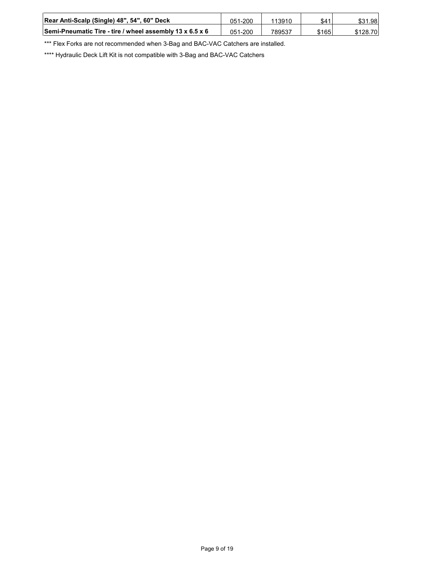| Rear Anti-Scalp (Single) 48", 54", 60" Deck              | 051-200 | 113910 | \$41  | \$31.98  |
|----------------------------------------------------------|---------|--------|-------|----------|
| Semi-Pneumatic Tire - tire / wheel assembly 13 x 6.5 x 6 | 051-200 | 789537 | \$165 | \$128.70 |

\*\*\* Flex Forks are not recommended when 3-Bag and BAC-VAC Catchers are installed.

\*\*\*\* Hydraulic Deck Lift Kit is not compatible with 3-Bag and BAC-VAC Catchers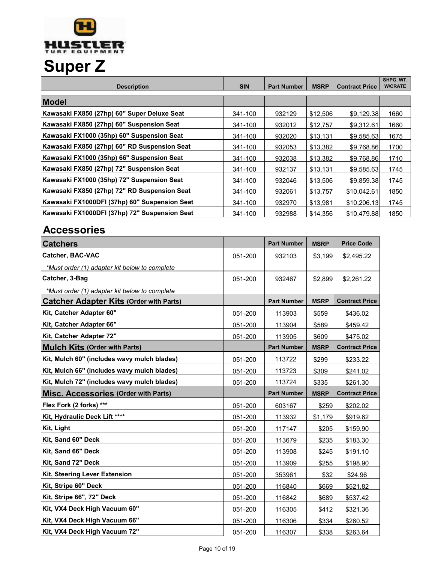

## **Super Z**

| <b>Description</b>                            | <b>SIN</b> | <b>Part Number</b> | <b>MSRP</b> | <b>Contract Price</b> | SHPG. WT.<br><b>W/CRATE</b> |
|-----------------------------------------------|------------|--------------------|-------------|-----------------------|-----------------------------|
| Model                                         |            |                    |             |                       |                             |
| Kawasaki FX850 (27hp) 60" Super Deluxe Seat   | 341-100    | 932129             | \$12,506    | \$9,129.38            | 1660                        |
| Kawasaki FX850 (27hp) 60" Suspension Seat     | 341-100    | 932012             | \$12,757    | \$9,312.61            | 1660                        |
| Kawasaki FX1000 (35hp) 60" Suspension Seat    | 341-100    | 932020             | \$13,131    | \$9,585.63            | 1675                        |
| Kawasaki FX850 (27hp) 60" RD Suspension Seat  | 341-100    | 932053             | \$13,382    | \$9,768.86            | 1700                        |
| Kawasaki FX1000 (35hp) 66" Suspension Seat    | 341-100    | 932038             | \$13,382    | \$9,768.86            | 1710                        |
| Kawasaki FX850 (27hp) 72" Suspension Seat     | 341-100    | 932137             | \$13,131    | \$9,585.63            | 1745                        |
| Kawasaki FX1000 (35hp) 72" Suspension Seat    | 341-100    | 932046             | \$13,506    | \$9,859.38            | 1745                        |
| Kawasaki FX850 (27hp) 72" RD Suspension Seat  | 341-100    | 932061             | \$13,757    | \$10,042.61           | 1850                        |
| Kawasaki FX1000DFI (37hp) 60" Suspension Seat | 341-100    | 932970             | \$13,981    | \$10,206.13           | 1745                        |
| Kawasaki FX1000DFI (37hp) 72" Suspension Seat | 341-100    | 932988             | \$14,356    | \$10,479.88           | 1850                        |

| <b>Catchers</b>                                |         | <b>Part Number</b> | <b>MSRP</b> | <b>Price Code</b>     |
|------------------------------------------------|---------|--------------------|-------------|-----------------------|
| <b>Catcher, BAC-VAC</b>                        | 051-200 | 932103             | \$3,199     | \$2,495.22            |
| *Must order (1) adapter kit below to complete  |         |                    |             |                       |
| Catcher, 3-Bag                                 | 051-200 | 932467             | \$2,899     | \$2,261.22            |
| *Must order (1) adapter kit below to complete  |         |                    |             |                       |
| <b>Catcher Adapter Kits (Order with Parts)</b> |         | <b>Part Number</b> | <b>MSRP</b> | <b>Contract Price</b> |
| Kit, Catcher Adapter 60"                       | 051-200 | 113903             | \$559       | \$436.02              |
| Kit, Catcher Adapter 66"                       | 051-200 | 113904             | \$589       | \$459.42              |
| Kit, Catcher Adapter 72"                       | 051-200 | 113905             | \$609       | \$475.02              |
| <b>Mulch Kits (Order with Parts)</b>           |         | <b>Part Number</b> | <b>MSRP</b> | <b>Contract Price</b> |
| Kit, Mulch 60" (includes wavy mulch blades)    | 051-200 | 113722             | \$299       | \$233.22              |
| Kit, Mulch 66" (includes wavy mulch blades)    | 051-200 | 113723             | \$309       | \$241.02              |
| Kit, Mulch 72" (includes wavy mulch blades)    | 051-200 | 113724             | \$335       | \$261.30              |
| <b>Misc. Accessories (Order with Parts)</b>    |         | <b>Part Number</b> | <b>MSRP</b> | <b>Contract Price</b> |
|                                                |         | 603167             | \$259       | \$202.02              |
| Flex Fork (2 forks) ***                        | 051-200 |                    |             |                       |
| Kit, Hydraulic Deck Lift ****                  | 051-200 | 113932             | \$1,179     | \$919.62              |
| Kit, Light                                     | 051-200 | 117147             | \$205       | \$159.90              |
| Kit, Sand 60" Deck                             | 051-200 | 113679             | \$235       | \$183.30              |
| Kit, Sand 66" Deck                             | 051-200 | 113908             | \$245       | \$191.10              |
| Kit, Sand 72" Deck                             | 051-200 | 113909             | \$255       | \$198.90              |
| Kit, Steering Lever Extension                  | 051-200 | 353961             | \$32        | \$24.96               |
| Kit, Stripe 60" Deck                           | 051-200 | 116840             | \$669       | \$521.82              |
| Kit, Stripe 66", 72" Deck                      | 051-200 | 116842             | \$689       | \$537.42              |
| Kit, VX4 Deck High Vacuum 60"                  | 051-200 | 116305             | \$412       | \$321.36              |
| Kit, VX4 Deck High Vacuum 66"                  | 051-200 | 116306             | \$334       | \$260.52              |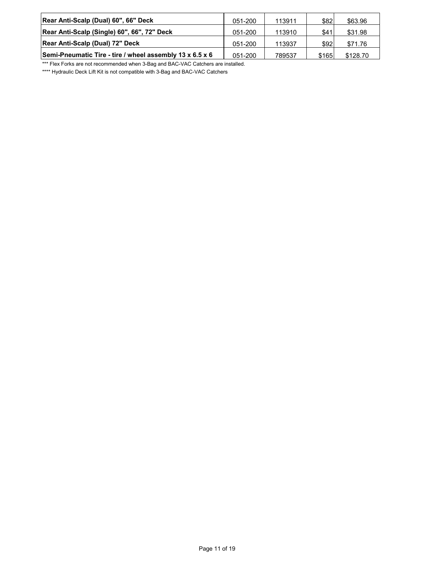| Rear Anti-Scalp (Dual) 60", 66" Deck                     | 051-200 | 113911 | \$82  | \$63.96  |
|----------------------------------------------------------|---------|--------|-------|----------|
| Rear Anti-Scalp (Single) 60", 66", 72" Deck              | 051-200 | 113910 | \$41  | \$31.98  |
| Rear Anti-Scalp (Dual) 72" Deck                          | 051-200 | 113937 | \$92  | \$71.76  |
| Semi-Pneumatic Tire - tire / wheel assembly 13 x 6.5 x 6 | 051-200 | 789537 | \$165 | \$128.70 |

\*\*\* Flex Forks are not recommended when 3-Bag and BAC-VAC Catchers are installed.

\*\*\*\* Hydraulic Deck Lift Kit is not compatible with 3-Bag and BAC-VAC Catchers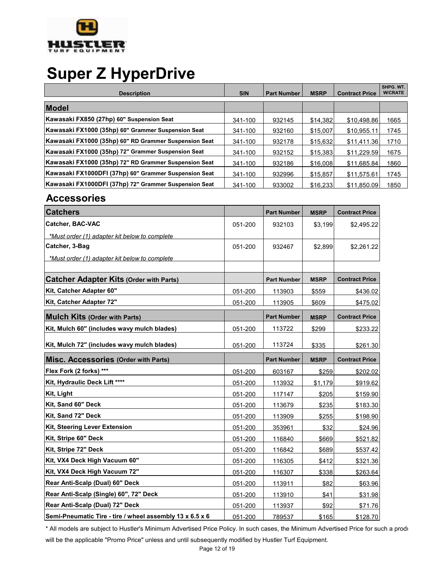

## **Super Z HyperDrive**

| <b>Description</b>                                    | <b>SIN</b> | <b>Part Number</b> | <b>MSRP</b> | <b>Contract Price</b> | SHPG. WT.<br><b>W/CRATE</b> |
|-------------------------------------------------------|------------|--------------------|-------------|-----------------------|-----------------------------|
|                                                       |            |                    |             |                       |                             |
| <b>Model</b>                                          |            |                    |             |                       |                             |
| Kawasaki FX850 (27hp) 60" Suspension Seat             | 341-100    | 932145             | \$14.382    | \$10.498.86           | 1665                        |
| Kawasaki FX1000 (35hp) 60" Grammer Suspension Seat    | 341-100    | 932160             | \$15.007    | \$10.955.11           | 1745                        |
| Kawasaki FX1000 (35hp) 60" RD Grammer Suspension Seat | 341-100    | 932178             | \$15,632    | \$11,411.36           | 1710                        |
| Kawasaki FX1000 (35hp) 72" Grammer Suspension Seat    | 341-100    | 932152             | \$15.383    | \$11.229.59           | 1675                        |
| Kawasaki FX1000 (35hp) 72" RD Grammer Suspension Seat | 341-100    | 932186             | \$16,008    | \$11.685.84           | 1860                        |
| Kawasaki FX1000DFI (37hp) 60" Grammer Suspension Seat | 341-100    | 932996             | \$15.857    | \$11.575.61           | 1745                        |
| Kawasaki FX1000DFI (37hp) 72" Grammer Suspension Seat | 341-100    | 933002             | \$16,233    | \$11.850.09           | 1850                        |

#### **Accessories**

| <b>Catchers</b>                                          |         | <b>Part Number</b> | <b>MSRP</b> | <b>Contract Price</b> |
|----------------------------------------------------------|---------|--------------------|-------------|-----------------------|
| Catcher, BAC-VAC                                         | 051-200 | 932103             | \$3,199     | \$2,495.22            |
| *Must order (1) adapter kit below to complete            |         |                    |             |                       |
| Catcher, 3-Bag                                           | 051-200 | 932467             | \$2,899     | \$2,261.22            |
| *Must order (1) adapter kit below to complete            |         |                    |             |                       |
|                                                          |         |                    |             |                       |
| <b>Catcher Adapter Kits (Order with Parts)</b>           |         | <b>Part Number</b> | <b>MSRP</b> | <b>Contract Price</b> |
| Kit, Catcher Adapter 60"                                 | 051-200 | 113903             | \$559       | \$436.02              |
| Kit, Catcher Adapter 72"                                 | 051-200 | 113905             | \$609       | \$475.02              |
| <b>Mulch Kits (Order with Parts)</b>                     |         | <b>Part Number</b> | <b>MSRP</b> | <b>Contract Price</b> |
| Kit, Mulch 60" (includes wavy mulch blades)              | 051-200 | 113722             | \$299       | \$233.22              |
| Kit, Mulch 72" (includes wavy mulch blades)              | 051-200 | 113724             | \$335       | \$261.30              |
| Misc. Accessories (Order with Parts)                     |         | <b>Part Number</b> | <b>MSRP</b> | <b>Contract Price</b> |
| Flex Fork (2 forks) ***                                  | 051-200 | 603167             | \$259       | \$202.02              |
| Kit, Hydraulic Deck Lift ****                            | 051-200 | 113932             | \$1,179     | \$919.62              |
| Kit, Light                                               | 051-200 | 117147             | \$205       | \$159.90              |
| Kit, Sand 60" Deck                                       | 051-200 | 113679             | \$235       | \$183.30              |
| Kit, Sand 72" Deck                                       | 051-200 | 113909             | \$255       | \$198.90              |
| Kit, Steering Lever Extension                            | 051-200 | 353961             | \$32        | \$24.96               |
| Kit, Stripe 60" Deck                                     | 051-200 | 116840             | \$669       | \$521.82              |
| Kit, Stripe 72" Deck                                     | 051-200 | 116842             | \$689       | \$537.42              |
| Kit, VX4 Deck High Vacuum 60"                            | 051-200 | 116305             | \$412       | \$321.36              |
| Kit, VX4 Deck High Vacuum 72"                            | 051-200 | 116307             | \$338       | \$263.64              |
| Rear Anti-Scalp (Dual) 60" Deck                          | 051-200 | 113911             | \$82        | \$63.96               |
| Rear Anti-Scalp (Single) 60", 72" Deck                   | 051-200 | 113910             | \$41        | \$31.98               |
| Rear Anti-Scalp (Dual) 72" Deck                          | 051-200 | 113937             | \$92        | \$71.76               |
| Semi-Pneumatic Tire - tire / wheel assembly 13 x 6.5 x 6 | 051-200 | 789537             | \$165       | \$128.70              |

\* All models are subject to Hustler's Minimum Advertised Price Policy. In such cases, the Minimum Advertised Price for such a produ

will be the applicable "Promo Price" unless and until subsequently modified by Hustler Turf Equipment.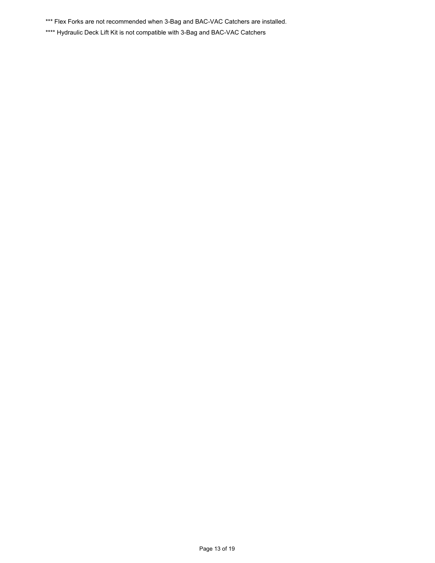\*\*\* Flex Forks are not recommended when 3-Bag and BAC-VAC Catchers are installed.

\*\*\*\* Hydraulic Deck Lift Kit is not compatible with 3-Bag and BAC-VAC Catchers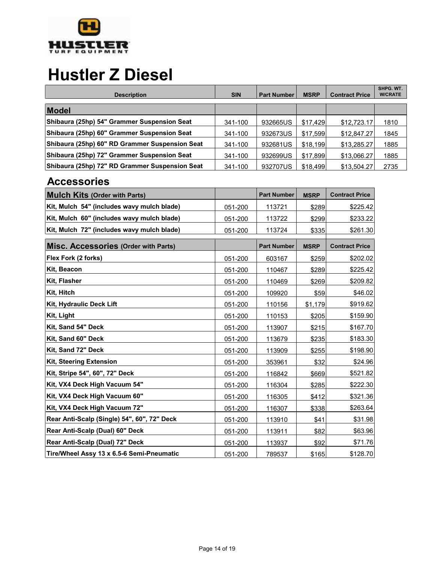

## **Hustler Z Diesel**

| <b>Description</b>                             | <b>SIN</b> | <b>Part Number I</b> | <b>MSRP</b> | <b>Contract Price</b> | SHPG. WT.<br><b>W/CRATE</b> |
|------------------------------------------------|------------|----------------------|-------------|-----------------------|-----------------------------|
| <b>Model</b>                                   |            |                      |             |                       |                             |
| Shibaura (25hp) 54" Grammer Suspension Seat    | 341-100    | 932665US             | \$17,429    | \$12,723.17           | 1810                        |
| Shibaura (25hp) 60" Grammer Suspension Seat    | 341-100    | 932673US             | \$17,599    | \$12,847.27           | 1845                        |
| Shibaura (25hp) 60" RD Grammer Suspension Seat | 341-100    | 932681US             | \$18,199    | \$13.285.27           | 1885                        |
| Shibaura (25hp) 72" Grammer Suspension Seat    | 341-100    | 932699US             | \$17,899    | \$13.066.27           | 1885                        |
| Shibaura (25hp) 72" RD Grammer Suspension Seat | 341-100    | 932707US             | \$18,499    | \$13,504.27           | 2735                        |

| <b>Mulch Kits (Order with Parts)</b>        |         | <b>Part Number</b> | <b>MSRP</b> | <b>Contract Price</b> |
|---------------------------------------------|---------|--------------------|-------------|-----------------------|
| Kit, Mulch 54" (includes wavy mulch blade)  | 051-200 | 113721             | \$289       | \$225.42              |
| Kit, Mulch 60" (includes wavy mulch blade)  | 051-200 | 113722             | \$299       | \$233.22              |
| Kit, Mulch 72" (includes wavy mulch blade)  | 051-200 | 113724             | \$335       | \$261.30              |
| <b>Misc. Accessories (Order with Parts)</b> |         | <b>Part Number</b> | <b>MSRP</b> | <b>Contract Price</b> |
| Flex Fork (2 forks)                         | 051-200 | 603167             | \$259       | \$202.02              |
| Kit, Beacon                                 | 051-200 | 110467             | \$289       | \$225.42              |
| Kit, Flasher                                | 051-200 | 110469             | \$269       | \$209.82              |
| Kit, Hitch                                  | 051-200 | 109920             | \$59        | \$46.02               |
| Kit, Hydraulic Deck Lift                    | 051-200 | 110156             | \$1,179     | \$919.62              |
| Kit, Light                                  | 051-200 | 110153             | \$205       | \$159.90              |
| Kit, Sand 54" Deck                          | 051-200 | 113907             | \$215       | \$167.70              |
| Kit, Sand 60" Deck                          | 051-200 | 113679             | \$235       | \$183.30              |
| Kit, Sand 72" Deck                          | 051-200 | 113909             | \$255       | \$198.90              |
| <b>Kit, Steering Extension</b>              | 051-200 | 353961             | \$32        | \$24.96               |
| Kit, Stripe 54", 60", 72" Deck              | 051-200 | 116842             | \$669       | \$521.82              |
| Kit, VX4 Deck High Vacuum 54"               | 051-200 | 116304             | \$285       | \$222.30              |
| Kit, VX4 Deck High Vacuum 60"               | 051-200 | 116305             | \$412       | \$321.36              |
| Kit, VX4 Deck High Vacuum 72"               | 051-200 | 116307             | \$338       | \$263.64              |
| Rear Anti-Scalp (Single) 54", 60", 72" Deck | 051-200 | 113910             | \$41        | \$31.98               |
| Rear Anti-Scalp (Dual) 60" Deck             | 051-200 | 113911             | \$82        | \$63.96               |
| Rear Anti-Scalp (Dual) 72" Deck             | 051-200 | 113937             | \$92        | \$71.76               |
| Tire/Wheel Assy 13 x 6.5-6 Semi-Pneumatic   | 051-200 | 789537             | \$165       | \$128.70              |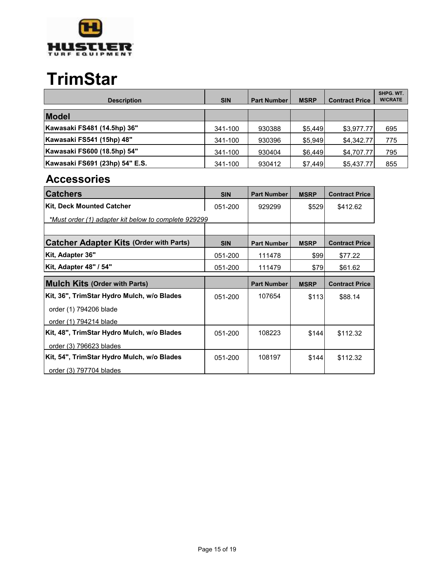

## **TrimStar**

| <b>Description</b>             | <b>SIN</b> | <b>Part Number</b> | <b>MSRP</b> | <b>Contract Price</b> | SHPG. WT.<br><b>W/CRATE</b> |
|--------------------------------|------------|--------------------|-------------|-----------------------|-----------------------------|
| <b>Model</b>                   |            |                    |             |                       |                             |
| Kawasaki FS481 (14.5hp) 36"    | 341-100    | 930388             | \$5,449     | \$3,977.77            | 695                         |
| Kawasaki FS541 (15hp) 48"      | 341-100    | 930396             | \$5,949     | \$4,342.77            | 775                         |
| Kawasaki FS600 (18.5hp) 54"    | 341-100    | 930404             | \$6.449     | \$4,707.77            | 795                         |
| Kawasaki FS691 (23hp) 54" E.S. | 341-100    | 930412             | \$7,449     | \$5,437.77            | 855                         |

| <b>Catchers</b>                                      | <b>SIN</b> | <b>Part Number</b> | <b>MSRP</b> | <b>Contract Price</b> |
|------------------------------------------------------|------------|--------------------|-------------|-----------------------|
| <b>Kit, Deck Mounted Catcher</b>                     | 051-200    | 929299             | \$529       | \$412.62              |
| *Must order (1) adapter kit below to complete 929299 |            |                    |             |                       |
|                                                      |            |                    |             |                       |
| <b>Catcher Adapter Kits (Order with Parts)</b>       | <b>SIN</b> | <b>Part Number</b> | <b>MSRP</b> | <b>Contract Price</b> |
| Kit, Adapter 36"                                     | 051-200    | 111478             | \$99        | \$77.22               |
| Kit, Adapter 48" / 54"                               | 051-200    | 111479             | \$79        | \$61.62               |
| <b>Mulch Kits (Order with Parts)</b>                 |            | <b>Part Number</b> | <b>MSRP</b> | <b>Contract Price</b> |
| Kit, 36", TrimStar Hydro Mulch, w/o Blades           | 051-200    | 107654             | \$113       | \$88.14               |
| order (1) 794206 blade                               |            |                    |             |                       |
| order (1) 794214 blade                               |            |                    |             |                       |
| Kit, 48", TrimStar Hydro Mulch, w/o Blades           | 051-200    | 108223             | \$144       | \$112.32              |
| order (3) 796623 blades                              |            |                    |             |                       |
| Kit, 54", TrimStar Hydro Mulch, w/o Blades           | 051-200    | 108197             | \$144       | \$112.32              |
| order (3) 797704 blades                              |            |                    |             |                       |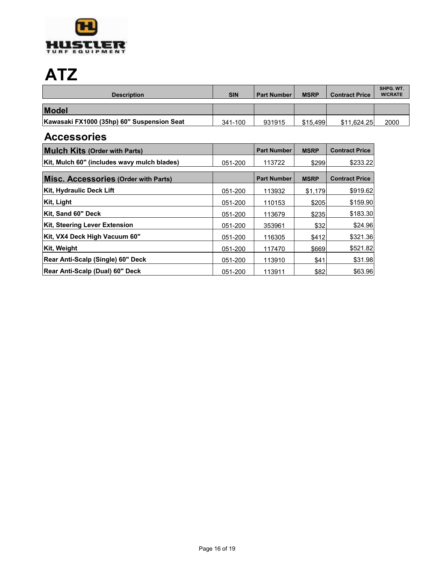

# **ATZ**

| <b>Description</b>                         | <b>SIN</b> | <b>Part Number  </b> | <b>MSRP</b> | <b>Contract Price</b> | SHPG, WT.<br><b>W/CRATE</b> |
|--------------------------------------------|------------|----------------------|-------------|-----------------------|-----------------------------|
| <b>Model</b>                               |            |                      |             |                       |                             |
| Kawasaki FX1000 (35hp) 60" Suspension Seat | 341-100    | 931915               | \$15.499    | \$11.624.25           | 2000                        |

| <b>Mulch Kits (Order with Parts)</b>        |         | <b>Part Number</b> | <b>MSRP</b> | <b>Contract Price</b> |
|---------------------------------------------|---------|--------------------|-------------|-----------------------|
| Kit, Mulch 60" (includes wavy mulch blades) | 051-200 | 113722             | \$299       | \$233.22              |
| Misc. Accessories (Order with Parts)        |         | <b>Part Number</b> | <b>MSRP</b> | <b>Contract Price</b> |
| Kit, Hydraulic Deck Lift                    | 051-200 | 113932             | \$1,179     | \$919.62              |
| Kit, Light                                  | 051-200 | 110153             | \$205       | \$159.90              |
| Kit, Sand 60" Deck                          | 051-200 | 113679             | \$235       | \$183.30              |
| <b>Kit, Steering Lever Extension</b>        | 051-200 | 353961             | \$32        | \$24.96               |
| Kit, VX4 Deck High Vacuum 60"               | 051-200 | 116305             | \$412       | \$321.36              |
| Kit, Weight                                 | 051-200 | 117470             | \$669       | \$521.82              |
| Rear Anti-Scalp (Single) 60" Deck           | 051-200 | 113910             | \$41        | \$31.98               |
| Rear Anti-Scalp (Dual) 60" Deck             | 051-200 | 113911             | \$82        | \$63.96               |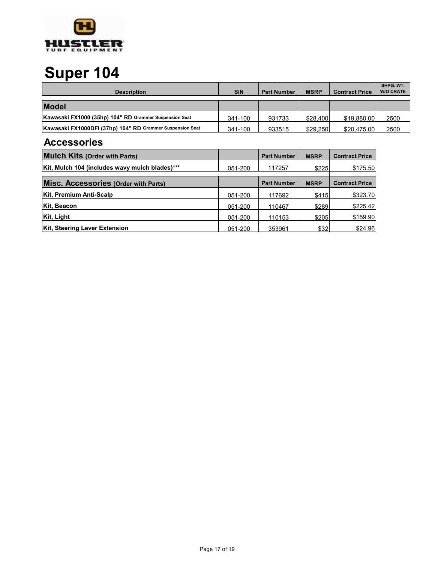

## **Super 104**

| <b>Description</b>                                        | <b>SIN</b> | <b>Part Number</b> | <b>MSRP</b> | <b>Contract Price</b> | SHPG. WT.<br><b>W/O CRATE</b> |
|-----------------------------------------------------------|------------|--------------------|-------------|-----------------------|-------------------------------|
| <b>Model</b>                                              |            |                    |             |                       |                               |
| Kawasaki FX1000 (35hp) 104" RD Grammer Suspension Seat    | 341-100    | 931733             | \$28,400    | \$19,880.00           | 2500                          |
| Kawasaki FX1000DFI (37hp) 104" RD Grammer Suspension Seat | 341-100    | 933515             | \$29,250    | \$20,475.00           | 2500                          |
| <b>Accessories</b>                                        |            |                    |             |                       |                               |
| <b>Mulch Kits (Order with Parts)</b>                      |            | <b>Part Number</b> | <b>MSRP</b> | <b>Contract Price</b> |                               |
| Kit, Mulch 104 (includes wavy mulch blades)***            | 051-200    | 117257             | \$225       | \$175.50              |                               |
| Misc. Accessories (Order with Parts)                      |            | <b>Part Number</b> | <b>MSRP</b> | <b>Contract Price</b> |                               |
| Kit, Premium Anti-Scalp                                   | 051-200    | 117692             | \$415       | \$323.70              |                               |
| Kit, Beacon                                               | 051-200    | 110467             | \$289       | \$225.42              |                               |
| Kit, Light                                                | 051-200    | 110153             | \$205       | \$159.90              |                               |
| Kit, Steering Lever Extension                             | 051-200    | 353961             | \$32        | \$24.96               |                               |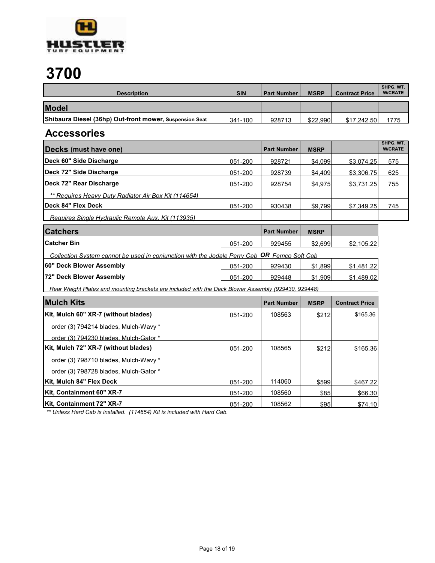

## **3700**

| <b>Description</b>                                      | <b>SIN</b> | <b>Part Number</b> | <b>MSRP</b> | <b>Contract Price</b> | SHPG, WT.<br><b>W/CRATE</b> |
|---------------------------------------------------------|------------|--------------------|-------------|-----------------------|-----------------------------|
| <b>Model</b>                                            |            |                    |             |                       |                             |
| Shibaura Diesel (36hp) Out-front mower, Suspension Seat | 341-100    | 928713             | \$22,990    | \$17.242.50           | 1775                        |

### **Accessories**

| Decks (must have one)                                |         | <b>Part Number</b> | <b>MSRP</b> |            | SHPG. WT.<br><b>W/CRATE</b> |
|------------------------------------------------------|---------|--------------------|-------------|------------|-----------------------------|
| Deck 60" Side Discharge                              | 051-200 | 928721             | \$4,099     | \$3.074.25 | 575                         |
| Deck 72" Side Discharge                              | 051-200 | 928739             | \$4.409     | \$3.306.75 | 625                         |
| Deck 72" Rear Discharge                              | 051-200 | 928754             | \$4.975     | \$3,731.25 | 755                         |
| ** Requires Heavy Duty Radiator Air Box Kit (114654) |         |                    |             |            |                             |
| Deck 84" Flex Deck                                   | 051-200 | 930438             | \$9.799     | \$7.349.25 | 745                         |
| Requires Single Hydraulic Remote Aux. Kit (113935)   |         |                    |             |            |                             |

| <b>Catchers</b>    |         | <b>Part Number</b> | <b>MSRP</b> |            |
|--------------------|---------|--------------------|-------------|------------|
| <b>Catcher Bin</b> | 051-200 | 929455             | \$2.699     | \$2,105.22 |

| Collection System cannot be used in conjunction with the Jodale Perry Cab <b>OR</b> Femco Soft Cab |         |        |         |            |
|----------------------------------------------------------------------------------------------------|---------|--------|---------|------------|
| <b>60" Deck Blower Assembly</b>                                                                    | 051-200 | 929430 | \$1.899 | \$1.481.22 |
| <b>72" Deck Blower Assembly</b>                                                                    | 051-200 | 929448 | \$1.909 | \$1.489.02 |

 *Rear Weight Plates and mounting brackets are included with the Deck Blower Assembly (929430, 929448)*

| <b>Mulch Kits</b>                      |         | <b>Part Number</b> | <b>MSRP</b> | <b>Contract Price</b> |
|----------------------------------------|---------|--------------------|-------------|-----------------------|
| Kit, Mulch 60" XR-7 (without blades)   | 051-200 | 108563             | \$212       | \$165.36              |
| order (3) 794214 blades, Mulch-Wavy *  |         |                    |             |                       |
| order (3) 794230 blades. Mulch-Gator * |         |                    |             |                       |
| Kit, Mulch 72" XR-7 (without blades)   | 051-200 | 108565             | \$212       | \$165.36              |
| order (3) 798710 blades, Mulch-Wavy *  |         |                    |             |                       |
| order (3) 798728 blades. Mulch-Gator * |         |                    |             |                       |
| Kit, Mulch 84" Flex Deck               | 051-200 | 114060             | \$599       | \$467.22              |
| Kit, Containment 60" XR-7              | 051-200 | 108560             | \$85        | \$66.30               |
| <b>Kit. Containment 72" XR-7</b>       | 051-200 | 108562             | \$95        | \$74.10               |

 *\*\* Unless Hard Cab is installed. (114654) Kit is included with Hard Cab.*